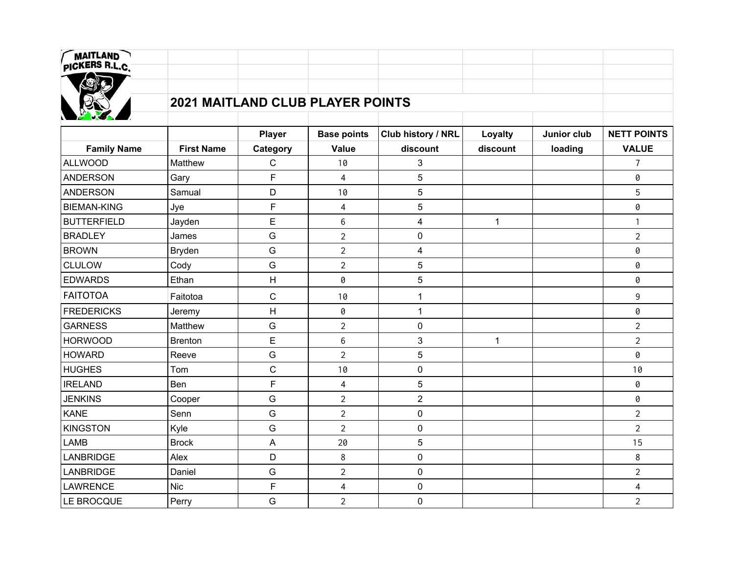| MAITLAND<br>PICKERS R.L.C.              |                   |                |                          |                         |              |             |                    |  |  |
|-----------------------------------------|-------------------|----------------|--------------------------|-------------------------|--------------|-------------|--------------------|--|--|
|                                         |                   |                |                          |                         |              |             |                    |  |  |
|                                         |                   |                |                          |                         |              |             |                    |  |  |
| <b>2021 MAITLAND CLUB PLAYER POINTS</b> |                   |                |                          |                         |              |             |                    |  |  |
|                                         |                   |                |                          |                         |              |             |                    |  |  |
|                                         |                   | <b>Player</b>  | <b>Base points</b>       | Club history / NRL      | Loyalty      | Junior club | <b>NETT POINTS</b> |  |  |
| <b>Family Name</b>                      | <b>First Name</b> | Category       | <b>Value</b>             | discount                | discount     | loading     | <b>VALUE</b>       |  |  |
| <b>ALLWOOD</b>                          | Matthew           | $\mathbf C$    | 10                       | 3                       |              |             | $\overline{7}$     |  |  |
| <b>ANDERSON</b>                         | Gary              | F              | $\overline{\mathbf{4}}$  | 5                       |              |             | 0                  |  |  |
| <b>ANDERSON</b>                         | Samual            | D              | 10                       | 5                       |              |             | 5                  |  |  |
| <b>BIEMAN-KING</b>                      | Jye               | F              | $\overline{\mathcal{A}}$ | 5                       |              |             | 0                  |  |  |
| <b>BUTTERFIELD</b>                      | Jayden            | E              | $\,6$                    | $\overline{\mathbf{4}}$ | $\mathbf{1}$ |             | $\mathbf{1}$       |  |  |
| <b>BRADLEY</b>                          | James             | G              | $\overline{2}$           | 0                       |              |             | $\overline{2}$     |  |  |
| <b>BROWN</b>                            | Bryden            | G              | $\overline{2}$           | $\overline{\mathbf{4}}$ |              |             | 0                  |  |  |
| <b>CLULOW</b>                           | Cody              | G              | $\overline{2}$           | 5                       |              |             | 0                  |  |  |
| <b>EDWARDS</b>                          | Ethan             | Н              | 0                        | 5                       |              |             | 0                  |  |  |
| <b>FAITOTOA</b>                         | Faitotoa          | $\mathsf C$    | 10                       | $\mathbf{1}$            |              |             | $\mathsf 9$        |  |  |
| <b>FREDERICKS</b>                       | Jeremy            | H              | 0                        | $\mathbf{1}$            |              |             | 0                  |  |  |
| <b>GARNESS</b>                          | Matthew           | G              | $\overline{2}$           | $\mathsf{O}$            |              |             | $\overline{2}$     |  |  |
| <b>HORWOOD</b>                          | <b>Brenton</b>    | E              | $\,6\,$                  | 3                       | $\mathbf{1}$ |             | $\overline{2}$     |  |  |
| <b>HOWARD</b>                           | Reeve             | ${\mathsf G}$  | $\overline{2}$           | 5                       |              |             | 0                  |  |  |
| <b>HUGHES</b>                           | Tom               | $\mathsf C$    | 10                       | $\pmb{0}$               |              |             | 10                 |  |  |
| <b>IRELAND</b>                          | Ben               | F              | $\overline{\mathbf{4}}$  | 5                       |              |             | 0                  |  |  |
| <b>JENKINS</b>                          | Cooper            | G              | $\overline{2}$           | $\overline{2}$          |              |             | 0                  |  |  |
| <b>KANE</b>                             | Senn              | G              | $\overline{2}$           | $\mathsf{O}$            |              |             | $\overline{2}$     |  |  |
| <b>KINGSTON</b>                         | Kyle              | G              | $\overline{2}$           | $\pmb{0}$               |              |             | $\overline{2}$     |  |  |
| <b>LAMB</b>                             | <b>Brock</b>      | $\overline{A}$ | 20                       | 5                       |              |             | 15                 |  |  |
| LANBRIDGE                               | Alex              | D              | 8                        | $\pmb{0}$               |              |             | 8                  |  |  |
| <b>LANBRIDGE</b>                        | Daniel            | G              | $\overline{2}$           | 0                       |              |             | $\overline{2}$     |  |  |
| <b>LAWRENCE</b>                         | <b>Nic</b>        | F              | $\overline{\mathcal{A}}$ | $\pmb{0}$               |              |             | $\overline{4}$     |  |  |
| LE BROCQUE                              | Perry             | G              | $\overline{2}$           | 0                       |              |             | $\overline{2}$     |  |  |